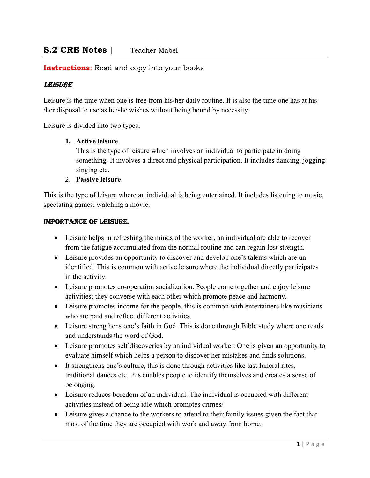#### **Instructions:** Read and copy into your books

#### LEISURE

Leisure is the time when one is free from his/her daily routine. It is also the time one has at his /her disposal to use as he/she wishes without being bound by necessity.

Leisure is divided into two types;

#### 1. Active leisure

This is the type of leisure which involves an individual to participate in doing something. It involves a direct and physical participation. It includes dancing, jogging singing etc.

2. Passive leisure.

This is the type of leisure where an individual is being entertained. It includes listening to music, spectating games, watching a movie.

#### ImpoRtancE of LEISURE.

- Leisure helps in refreshing the minds of the worker, an individual are able to recover from the fatigue accumulated from the normal routine and can regain lost strength.
- Leisure provides an opportunity to discover and develop one's talents which are un identified. This is common with active leisure where the individual directly participates in the activity.
- Leisure promotes co-operation socialization. People come together and enjoy leisure activities; they converse with each other which promote peace and harmony.
- Leisure promotes income for the people, this is common with entertainers like musicians who are paid and reflect different activities.
- Leisure strengthens one's faith in God. This is done through Bible study where one reads and understands the word of God.
- Leisure promotes self discoveries by an individual worker. One is given an opportunity to evaluate himself which helps a person to discover her mistakes and finds solutions.
- It strengthens one's culture, this is done through activities like last funeral rites, traditional dances etc. this enables people to identify themselves and creates a sense of belonging.
- Leisure reduces boredom of an individual. The individual is occupied with different activities instead of being idle which promotes crimes/
- Leisure gives a chance to the workers to attend to their family issues given the fact that most of the time they are occupied with work and away from home.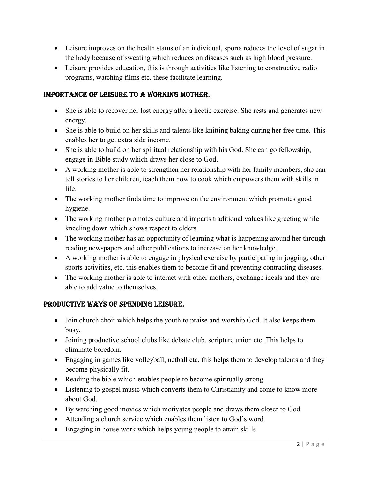- Leisure improves on the health status of an individual, sports reduces the level of sugar in the body because of sweating which reduces on diseases such as high blood pressure.
- Leisure provides education, this is through activities like listening to constructive radio programs, watching films etc. these facilitate learning.

### ImpoRtancE of LEISURE to a woRkIng mothER.

- She is able to recover her lost energy after a hectic exercise. She rests and generates new energy.
- She is able to build on her skills and talents like knitting baking during her free time. This enables her to get extra side income.
- She is able to build on her spiritual relationship with his God. She can go fellowship, engage in Bible study which draws her close to God.
- A working mother is able to strengthen her relationship with her family members, she can tell stories to her children, teach them how to cook which empowers them with skills in life.
- The working mother finds time to improve on the environment which promotes good hygiene.
- The working mother promotes culture and imparts traditional values like greeting while kneeling down which shows respect to elders.
- The working mother has an opportunity of learning what is happening around her through reading newspapers and other publications to increase on her knowledge.
- A working mother is able to engage in physical exercise by participating in jogging, other sports activities, etc. this enables them to become fit and preventing contracting diseases.
- The working mother is able to interact with other mothers, exchange ideals and they are able to add value to themselves.

## pRodUctIvE wayS of SpEndIng LEISURE.

- Join church choir which helps the youth to praise and worship God. It also keeps them busy.
- Joining productive school clubs like debate club, scripture union etc. This helps to eliminate boredom.
- Engaging in games like volleyball, netball etc. this helps them to develop talents and they become physically fit.
- Reading the bible which enables people to become spiritually strong.
- Listening to gospel music which converts them to Christianity and come to know more about God.
- By watching good movies which motivates people and draws them closer to God.
- Attending a church service which enables them listen to God's word.
- Engaging in house work which helps young people to attain skills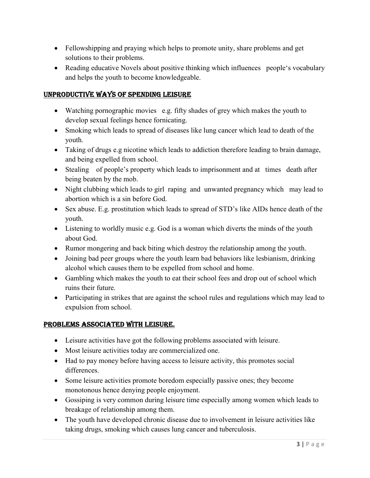- Fellowshipping and praying which helps to promote unity, share problems and get solutions to their problems.
- Reading educative Novels about positive thinking which influences people's vocabulary and helps the youth to become knowledgeable.

## UnpRodUctIvE wayS of SpEndIng LEISURE

- Watching pornographic movies e.g. fifty shades of grey which makes the youth to develop sexual feelings hence fornicating.
- Smoking which leads to spread of diseases like lung cancer which lead to death of the youth.
- Taking of drugs e.g nicotine which leads to addiction therefore leading to brain damage, and being expelled from school.
- Stealing of people's property which leads to imprisonment and at times death after being beaten by the mob.
- Night clubbing which leads to girl raping and unwanted pregnancy which may lead to abortion which is a sin before God.
- Sex abuse. E.g. prostitution which leads to spread of STD's like AIDs hence death of the youth.
- Listening to worldly music e.g. God is a woman which diverts the minds of the youth about God.
- Rumor mongering and back biting which destroy the relationship among the youth.
- Joining bad peer groups where the youth learn bad behaviors like lesbianism, drinking alcohol which causes them to be expelled from school and home.
- Gambling which makes the youth to eat their school fees and drop out of school which ruins their future.
- Participating in strikes that are against the school rules and regulations which may lead to expulsion from school.

## pRobLEmS aSSocIatEd wIth LEISURE.

- Leisure activities have got the following problems associated with leisure.
- Most leisure activities today are commercialized one.
- Had to pay money before having access to leisure activity, this promotes social differences.
- Some leisure activities promote boredom especially passive ones; they become monotonous hence denying people enjoyment.
- Gossiping is very common during leisure time especially among women which leads to breakage of relationship among them.
- The youth have developed chronic disease due to involvement in leisure activities like taking drugs, smoking which causes lung cancer and tuberculosis.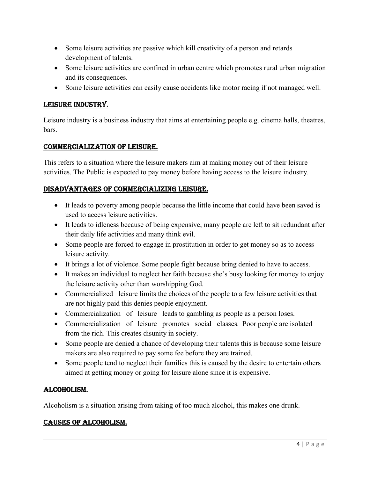- Some leisure activities are passive which kill creativity of a person and retards development of talents.
- Some leisure activities are confined in urban centre which promotes rural urban migration and its consequences.
- Some leisure activities can easily cause accidents like motor racing if not managed well.

## LEISURE IndUStRy.

Leisure industry is a business industry that aims at entertaining people e.g. cinema halls, theatres, bars.

## commERcIaLIzatIon of LEISURE.

This refers to a situation where the leisure makers aim at making money out of their leisure activities. The Public is expected to pay money before having access to the leisure industry.

### dISadvantagES of commERcIaLIzIng LEISURE.

- It leads to poverty among people because the little income that could have been saved is used to access leisure activities.
- It leads to idleness because of being expensive, many people are left to sit redundant after their daily life activities and many think evil.
- Some people are forced to engage in prostitution in order to get money so as to access leisure activity.
- It brings a lot of violence. Some people fight because bring denied to have to access.
- It makes an individual to neglect her faith because she's busy looking for money to enjoy the leisure activity other than worshipping God.
- Commercialized leisure limits the choices of the people to a few leisure activities that are not highly paid this denies people enjoyment.
- Commercialization of leisure leads to gambling as people as a person loses.
- Commercialization of leisure promotes social classes. Poor people are isolated from the rich. This creates disunity in society.
- Some people are denied a chance of developing their talents this is because some leisure makers are also required to pay some fee before they are trained.
- Some people tend to neglect their families this is caused by the desire to entertain others aimed at getting money or going for leisure alone since it is expensive.

## aLcohoLISm.

Alcoholism is a situation arising from taking of too much alcohol, this makes one drunk.

## caUSES of aLcohoLISm.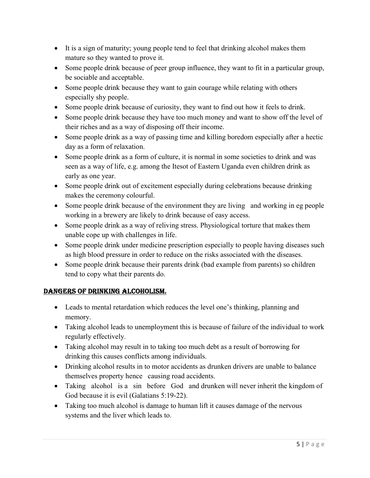- It is a sign of maturity; young people tend to feel that drinking alcohol makes them mature so they wanted to prove it.
- Some people drink because of peer group influence, they want to fit in a particular group, be sociable and acceptable.
- Some people drink because they want to gain courage while relating with others especially shy people.
- Some people drink because of curiosity, they want to find out how it feels to drink.
- Some people drink because they have too much money and want to show off the level of their riches and as a way of disposing off their income.
- Some people drink as a way of passing time and killing boredom especially after a hectic day as a form of relaxation.
- Some people drink as a form of culture, it is normal in some societies to drink and was seen as a way of life, e.g. among the Itesot of Eastern Uganda even children drink as early as one year.
- Some people drink out of excitement especially during celebrations because drinking makes the ceremony colourful.
- Some people drink because of the environment they are living and working in eg people working in a brewery are likely to drink because of easy access.
- Some people drink as a way of reliving stress. Physiological torture that makes them unable cope up with challenges in life.
- Some people drink under medicine prescription especially to people having diseases such as high blood pressure in order to reduce on the risks associated with the diseases.
- Some people drink because their parents drink (bad example from parents) so children tend to copy what their parents do.

## dangERS of dRInkIng aLcohoLISm.

- Leads to mental retardation which reduces the level one's thinking, planning and memory.
- Taking alcohol leads to unemployment this is because of failure of the individual to work regularly effectively.
- Taking alcohol may result in to taking too much debt as a result of borrowing for drinking this causes conflicts among individuals.
- Drinking alcohol results in to motor accidents as drunken drivers are unable to balance themselves property hence causing road accidents.
- Taking alcohol is a sin before God and drunken will never inherit the kingdom of God because it is evil (Galatians 5:19-22).
- Taking too much alcohol is damage to human lift it causes damage of the nervous systems and the liver which leads to.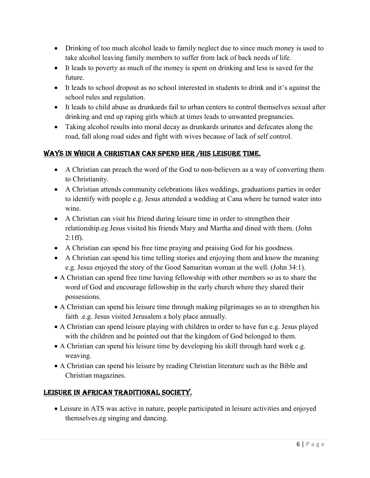- Drinking of too much alcohol leads to family neglect due to since much money is used to take alcohol leaving family members to suffer from lack of back needs of life.
- It leads to poverty as much of the money is spent on drinking and less is saved for the future.
- It leads to school dropout as no school interested in students to drink and it's against the school rules and regulation.
- It leads to child abuse as drunkards fail to urban centers to control themselves sexual after drinking and end up raping girls which at times leads to unwanted pregnancies.
- Taking alcohol results into moral decay as drunkards urinates and defecates along the road, fall along road sides and fight with wives because of lack of self control.

# wayS In whIch a chRIStIan can SpEnd hER /hIS LEISURE tImE.

- A Christian can preach the word of the God to non-believers as a way of converting them to Christianity.
- A Christian attends community celebrations likes weddings, graduations parties in order to identify with people e.g. Jesus attended a wedding at Cana where he turned water into wine.
- A Christian can visit his friend during leisure time in order to strengthen their relationship.eg Jesus visited his friends Mary and Martha and dined with them. (John 2:1ff).
- A Christian can spend his free time praying and praising God for his goodness.
- A Christian can spend his time telling stories and enjoying them and know the meaning e.g. Jesus enjoyed the story of the Good Samaritan woman at the well. (John 34:1).
- A Christian can spend free time having fellowship with other members so as to share the word of God and encourage fellowship in the early church where they shared their possessions.
- A Christian can spend his leisure time through making pilgrimages so as to strengthen his faith .e.g. Jesus visited Jerusalem a holy place annually.
- A Christian can spend leisure playing with children in order to have fun e.g. Jesus played with the children and he pointed out that the kingdom of God belonged to them.
- A Christian can spend his leisure time by developing his skill through hard work e.g. weaving.
- A Christian can spend his leisure by reading Christian literature such as the Bible and Christian magazines.

# LEISURE In afRIcan tRadItIonaL SocIEty.

 Leisure in ATS was active in nature, people participated in leisure activities and enjoyed themselves.eg singing and dancing.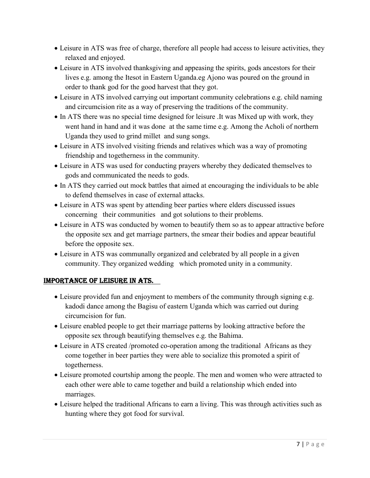- Leisure in ATS was free of charge, therefore all people had access to leisure activities, they relaxed and enjoyed.
- Leisure in ATS involved thanksgiving and appeasing the spirits, gods ancestors for their lives e.g. among the Itesot in Eastern Uganda.eg Ajono was poured on the ground in order to thank god for the good harvest that they got.
- Leisure in ATS involved carrying out important community celebrations e.g. child naming and circumcision rite as a way of preserving the traditions of the community.
- In ATS there was no special time designed for leisure .It was Mixed up with work, they went hand in hand and it was done at the same time e.g. Among the Acholi of northern Uganda they used to grind millet and sung songs.
- Leisure in ATS involved visiting friends and relatives which was a way of promoting friendship and togetherness in the community.
- Leisure in ATS was used for conducting prayers whereby they dedicated themselves to gods and communicated the needs to gods.
- In ATS they carried out mock battles that aimed at encouraging the individuals to be able to defend themselves in case of external attacks.
- Leisure in ATS was spent by attending beer parties where elders discussed issues concerning their communities and got solutions to their problems.
- Leisure in ATS was conducted by women to beautify them so as to appear attractive before the opposite sex and get marriage partners, the smear their bodies and appear beautiful before the opposite sex.
- Leisure in ATS was communally organized and celebrated by all people in a given community. They organized wedding which promoted unity in a community.

# ImpoRtancE of LEISURE In atS.

- Leisure provided fun and enjoyment to members of the community through signing e.g. kadodi dance among the Bagisu of eastern Uganda which was carried out during circumcision for fun.
- Leisure enabled people to get their marriage patterns by looking attractive before the opposite sex through beautifying themselves e.g. the Bahima.
- Leisure in ATS created /promoted co-operation among the traditional Africans as they come together in beer parties they were able to socialize this promoted a spirit of togetherness.
- Leisure promoted courtship among the people. The men and women who were attracted to each other were able to came together and build a relationship which ended into marriages.
- Leisure helped the traditional Africans to earn a living. This was through activities such as hunting where they got food for survival.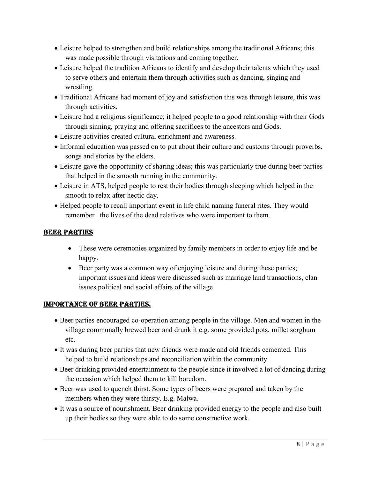- Leisure helped to strengthen and build relationships among the traditional Africans; this was made possible through visitations and coming together.
- Leisure helped the tradition Africans to identify and develop their talents which they used to serve others and entertain them through activities such as dancing, singing and wrestling.
- Traditional Africans had moment of joy and satisfaction this was through leisure, this was through activities.
- Leisure had a religious significance; it helped people to a good relationship with their Gods through sinning, praying and offering sacrifices to the ancestors and Gods.
- Leisure activities created cultural enrichment and awareness.
- Informal education was passed on to put about their culture and customs through proverbs, songs and stories by the elders.
- Leisure gave the opportunity of sharing ideas; this was particularly true during beer parties that helped in the smooth running in the community.
- Leisure in ATS, helped people to rest their bodies through sleeping which helped in the smooth to relax after hectic day.
- Helped people to recall important event in life child naming funeral rites. They would remember the lives of the dead relatives who were important to them.

## bEER paRtIES

- These were ceremonies organized by family members in order to enjoy life and be happy.
- Beer party was a common way of enjoying leisure and during these parties; important issues and ideas were discussed such as marriage land transactions, clan issues political and social affairs of the village.

#### ImpoRtancE of bEER paRtIES.

- Beer parties encouraged co-operation among people in the village. Men and women in the village communally brewed beer and drunk it e.g. some provided pots, millet sorghum etc.
- It was during beer parties that new friends were made and old friends cemented. This helped to build relationships and reconciliation within the community.
- Beer drinking provided entertainment to the people since it involved a lot of dancing during the occasion which helped them to kill boredom.
- Beer was used to quench thirst. Some types of beers were prepared and taken by the members when they were thirsty. E.g. Malwa.
- It was a source of nourishment. Beer drinking provided energy to the people and also built up their bodies so they were able to do some constructive work.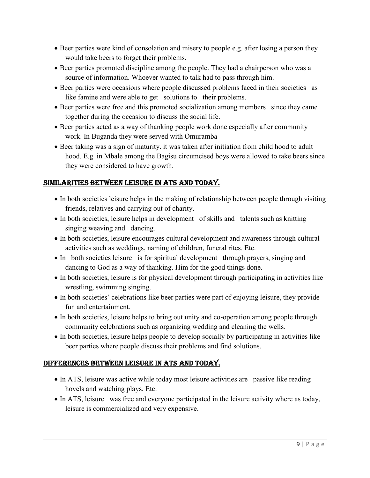- Beer parties were kind of consolation and misery to people e.g. after losing a person they would take beers to forget their problems.
- Beer parties promoted discipline among the people. They had a chairperson who was a source of information. Whoever wanted to talk had to pass through him.
- Beer parties were occasions where people discussed problems faced in their societies as like famine and were able to get solutions to their problems.
- Beer parties were free and this promoted socialization among members since they came together during the occasion to discuss the social life.
- Beer parties acted as a way of thanking people work done especially after community work. In Buganda they were served with Omuramba
- Beer taking was a sign of maturity. it was taken after initiation from child hood to adult hood. E.g. in Mbale among the Bagisu circumcised boys were allowed to take beers since they were considered to have growth.

# SImILaRItIES bEtwEEn LEISURE In atS and today.

- In both societies leisure helps in the making of relationship between people through visiting friends, relatives and carrying out of charity.
- In both societies, leisure helps in development of skills and talents such as knitting singing weaving and dancing.
- In both societies, leisure encourages cultural development and awareness through cultural activities such as weddings, naming of children, funeral rites. Etc.
- In both societies leisure is for spiritual development through prayers, singing and dancing to God as a way of thanking. Him for the good things done.
- In both societies, leisure is for physical development through participating in activities like wrestling, swimming singing.
- In both societies' celebrations like beer parties were part of enjoying leisure, they provide fun and entertainment.
- In both societies, leisure helps to bring out unity and co-operation among people through community celebrations such as organizing wedding and cleaning the wells.
- In both societies, leisure helps people to develop socially by participating in activities like beer parties where people discuss their problems and find solutions.

## dIffEREncES bEtwEEn LEISURE In atS and today.

- In ATS, leisure was active while today most leisure activities are passive like reading hovels and watching plays. Etc.
- In ATS, leisure was free and everyone participated in the leisure activity where as today, leisure is commercialized and very expensive.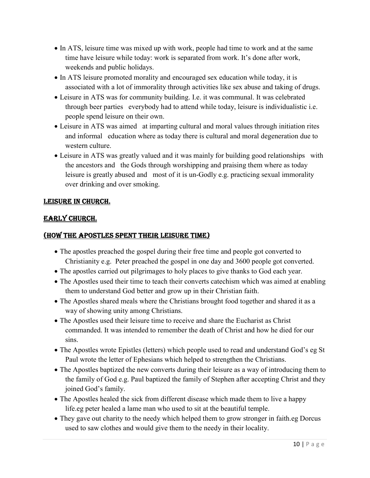- In ATS, leisure time was mixed up with work, people had time to work and at the same time have leisure while today: work is separated from work. It's done after work, weekends and public holidays.
- In ATS leisure promoted morality and encouraged sex education while today, it is associated with a lot of immorality through activities like sex abuse and taking of drugs.
- Leisure in ATS was for community building. I.e. it was communal. It was celebrated through beer parties everybody had to attend while today, leisure is individualistic i.e. people spend leisure on their own.
- Leisure in ATS was aimed at imparting cultural and moral values through initiation rites and informal education where as today there is cultural and moral degeneration due to western culture.
- Leisure in ATS was greatly valued and it was mainly for building good relationships with the ancestors and the Gods through worshipping and praising them where as today leisure is greatly abused and most of it is un-Godly e.g. practicing sexual immorality over drinking and over smoking.

## LEISURE In chURch.

#### EaRLy chURch.

#### (how thE apoStLES SpEnt thEIR LEISURE tImE)

- The apostles preached the gospel during their free time and people got converted to Christianity e.g. Peter preached the gospel in one day and 3600 people got converted.
- The apostles carried out pilgrimages to holy places to give thanks to God each year.
- The Apostles used their time to teach their converts catechism which was aimed at enabling them to understand God better and grow up in their Christian faith.
- The Apostles shared meals where the Christians brought food together and shared it as a way of showing unity among Christians.
- The Apostles used their leisure time to receive and share the Eucharist as Christ commanded. It was intended to remember the death of Christ and how he died for our sins.
- The Apostles wrote Epistles (letters) which people used to read and understand God's eg St Paul wrote the letter of Ephesians which helped to strengthen the Christians.
- The Apostles baptized the new converts during their leisure as a way of introducing them to the family of God e.g. Paul baptized the family of Stephen after accepting Christ and they joined God's family.
- The Apostles healed the sick from different disease which made them to live a happy life.eg peter healed a lame man who used to sit at the beautiful temple.
- They gave out charity to the needy which helped them to grow stronger in faith.eg Dorcus used to saw clothes and would give them to the needy in their locality.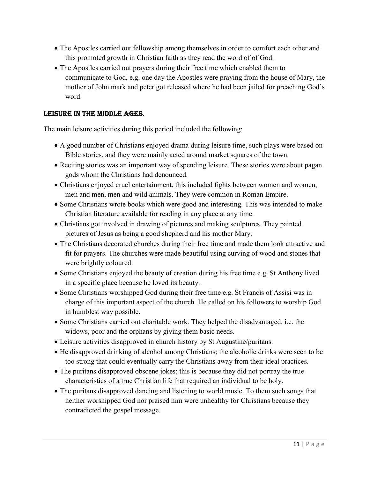- The Apostles carried out fellowship among themselves in order to comfort each other and this promoted growth in Christian faith as they read the word of of God.
- The Apostles carried out prayers during their free time which enabled them to communicate to God, e.g. one day the Apostles were praying from the house of Mary, the mother of John mark and peter got released where he had been jailed for preaching God's word.

#### LEISURE In thE mIddLE agES.

The main leisure activities during this period included the following;

- A good number of Christians enjoyed drama during leisure time, such plays were based on Bible stories, and they were mainly acted around market squares of the town.
- Reciting stories was an important way of spending leisure. These stories were about pagan gods whom the Christians had denounced.
- Christians enjoyed cruel entertainment, this included fights between women and women, men and men, men and wild animals. They were common in Roman Empire.
- Some Christians wrote books which were good and interesting. This was intended to make Christian literature available for reading in any place at any time.
- Christians got involved in drawing of pictures and making sculptures. They painted pictures of Jesus as being a good shepherd and his mother Mary.
- The Christians decorated churches during their free time and made them look attractive and fit for prayers. The churches were made beautiful using curving of wood and stones that were brightly coloured.
- Some Christians enjoyed the beauty of creation during his free time e.g. St Anthony lived in a specific place because he loved its beauty.
- Some Christians worshipped God during their free time e.g. St Francis of Assisi was in charge of this important aspect of the church .He called on his followers to worship God in humblest way possible.
- Some Christians carried out charitable work. They helped the disadvantaged, i.e. the widows, poor and the orphans by giving them basic needs.
- Leisure activities disapproved in church history by St Augustine/puritans.
- He disapproved drinking of alcohol among Christians; the alcoholic drinks were seen to be too strong that could eventually carry the Christians away from their ideal practices.
- The puritans disapproved obscene jokes; this is because they did not portray the true characteristics of a true Christian life that required an individual to be holy.
- The puritans disapproved dancing and listening to world music. To them such songs that neither worshipped God nor praised him were unhealthy for Christians because they contradicted the gospel message.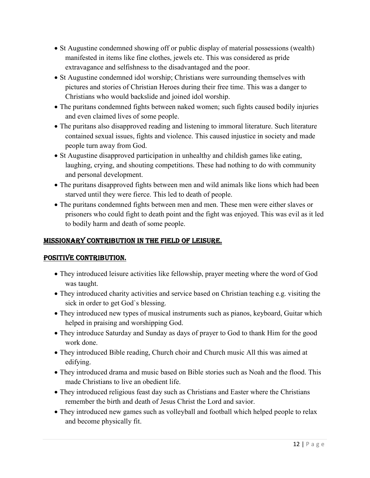- St Augustine condemned showing off or public display of material possessions (wealth) manifested in items like fine clothes, jewels etc. This was considered as pride extravagance and selfishness to the disadvantaged and the poor.
- St Augustine condemned idol worship; Christians were surrounding themselves with pictures and stories of Christian Heroes during their free time. This was a danger to Christians who would backslide and joined idol worship.
- The puritans condemned fights between naked women; such fights caused bodily injuries and even claimed lives of some people.
- The puritans also disapproved reading and listening to immoral literature. Such literature contained sexual issues, fights and violence. This caused injustice in society and made people turn away from God.
- St Augustine disapproved participation in unhealthy and childish games like eating, laughing, crying, and shouting competitions. These had nothing to do with community and personal development.
- The puritans disapproved fights between men and wild animals like lions which had been starved until they were fierce. This led to death of people.
- The puritans condemned fights between men and men. These men were either slaves or prisoners who could fight to death point and the fight was enjoyed. This was evil as it led to bodily harm and death of some people.

## mISSIonaRy contRIbUtIon In thE fIELd of LEISURE.

## poSItIvE contRIbUtIon.

- They introduced leisure activities like fellowship, prayer meeting where the word of God was taught.
- They introduced charity activities and service based on Christian teaching e.g. visiting the sick in order to get God`s blessing.
- They introduced new types of musical instruments such as pianos, keyboard, Guitar which helped in praising and worshipping God.
- They introduce Saturday and Sunday as days of prayer to God to thank Him for the good work done.
- They introduced Bible reading, Church choir and Church music All this was aimed at edifying.
- They introduced drama and music based on Bible stories such as Noah and the flood. This made Christians to live an obedient life.
- They introduced religious feast day such as Christians and Easter where the Christians remember the birth and death of Jesus Christ the Lord and savior.
- They introduced new games such as volleyball and football which helped people to relax and become physically fit.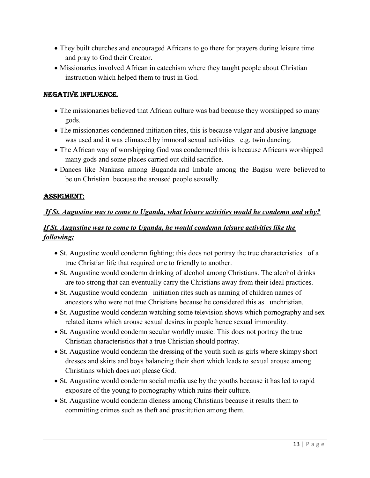- They built churches and encouraged Africans to go there for prayers during leisure time and pray to God their Creator.
- Missionaries involved African in catechism where they taught people about Christian instruction which helped them to trust in God.

#### nEgatIvE InfLUEncE.

- The missionaries believed that African culture was bad because they worshipped so many gods.
- The missionaries condemned initiation rites, this is because vulgar and abusive language was used and it was climaxed by immoral sexual activities e.g. twin dancing.
- The African way of worshipping God was condemned this is because Africans worshipped many gods and some places carried out child sacrifice.
- Dances like Nankasa among Buganda and Imbale among the Bagisu were believed to be un Christian because the aroused people sexually.

#### aSSIgmEnt;

#### If St. Augustine was to come to Uganda, what leisure activities would he condemn and why?

# If St. Augustine was to come to Uganda, he would condemn leisure activities like the following;

- St. Augustine would condemn fighting; this does not portray the true characteristics of a true Christian life that required one to friendly to another.
- St. Augustine would condemn drinking of alcohol among Christians. The alcohol drinks are too strong that can eventually carry the Christians away from their ideal practices.
- St. Augustine would condemn initiation rites such as naming of children names of ancestors who were not true Christians because he considered this as unchristian.
- St. Augustine would condemn watching some television shows which pornography and sex related items which arouse sexual desires in people hence sexual immorality.
- St. Augustine would condemn secular worldly music. This does not portray the true Christian characteristics that a true Christian should portray.
- St. Augustine would condemn the dressing of the youth such as girls where skimpy short dresses and skirts and boys balancing their short which leads to sexual arouse among Christians which does not please God.
- St. Augustine would condemn social media use by the youths because it has led to rapid exposure of the young to pornography which ruins their culture.
- St. Augustine would condemn dleness among Christians because it results them to committing crimes such as theft and prostitution among them.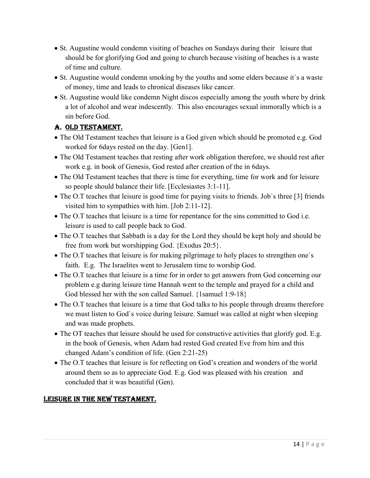- St. Augustine would condemn visiting of beaches on Sundays during their leisure that should be for glorifying God and going to church because visiting of beaches is a waste of time and culture.
- St. Augustine would condemn smoking by the youths and some elders because it`s a waste of money, time and leads to chronical diseases like cancer.
- St. Augustine would like condemn Night discos especially among the youth where by drink a lot of alcohol and wear indescently. This also encourages sexual immorally which is a sin before God.

# a. oLd tEStamEnt.

- The Old Testament teaches that leisure is a God given which should be promoted e.g. God worked for 6days rested on the day. [Gen1].
- The Old Testament teaches that resting after work obligation therefore, we should rest after work e.g. in book of Genesis, God rested after creation of the in 6days.
- The Old Testament teaches that there is time for everything, time for work and for leisure so people should balance their life. [Ecclesiastes 3:1-11].
- The O.T teaches that leisure is good time for paying visits to friends. Job's three [3] friends visited him to sympathies with him. [Job 2:11-12].
- The O.T teaches that leisure is a time for repentance for the sins committed to God i.e. leisure is used to call people back to God.
- The O.T teaches that Sabbath is a day for the Lord they should be kept holy and should be free from work but worshipping God. {Exodus 20:5}.
- The O.T teaches that leisure is for making pilgrimage to holy places to strengthen one's faith. E.g. The Israelites went to Jerusalem time to worship God.
- The O.T teaches that leisure is a time for in order to get answers from God concerning our problem e.g during leisure time Hannah went to the temple and prayed for a child and God blessed her with the son called Samuel. {1samuel 1:9-18}
- The O.T teaches that leisure is a time that God talks to his people through dreams therefore we must listen to God`s voice during leisure. Samuel was called at night when sleeping and was made prophets.
- The OT teaches that leisure should be used for constructive activities that glorify god. E.g. in the book of Genesis, when Adam had rested God created Eve from him and this changed Adam's condition of life. (Gen 2:21-25)
- The O.T teaches that leisure is for reflecting on God's creation and wonders of the world around them so as to appreciate God. E.g. God was pleased with his creation and concluded that it was beautiful (Gen).

## LEISURE In thE nEw tEStamEnt.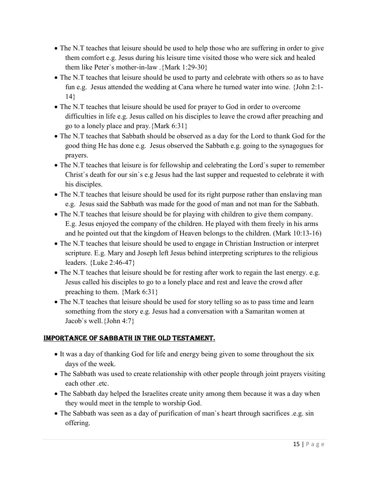- The N.T teaches that leisure should be used to help those who are suffering in order to give them comfort e.g. Jesus during his leisure time visited those who were sick and healed them like Peter`s mother-in-law .{Mark 1:29-30}
- The N.T teaches that leisure should be used to party and celebrate with others so as to have fun e.g. Jesus attended the wedding at Cana where he turned water into wine. {John 2:1- 14}
- The N.T teaches that leisure should be used for prayer to God in order to overcome difficulties in life e.g. Jesus called on his disciples to leave the crowd after preaching and go to a lonely place and pray.{Mark 6:31}
- The N.T teaches that Sabbath should be observed as a day for the Lord to thank God for the good thing He has done e.g. Jesus observed the Sabbath e.g. going to the synagogues for prayers.
- The N.T teaches that leisure is for fellowship and celebrating the Lord`s super to remember Christ`s death for our sin`s e.g Jesus had the last supper and requested to celebrate it with his disciples.
- The N.T teaches that leisure should be used for its right purpose rather than enslaving man e.g. Jesus said the Sabbath was made for the good of man and not man for the Sabbath.
- The N.T teaches that leisure should be for playing with children to give them company. E.g. Jesus enjoyed the company of the children. He played with them freely in his arms and he pointed out that the kingdom of Heaven belongs to the children. (Mark 10:13-16)
- The N.T teaches that leisure should be used to engage in Christian Instruction or interpret scripture. E.g. Mary and Joseph left Jesus behind interpreting scriptures to the religious leaders. {Luke 2:46-47}
- The N.T teaches that leisure should be for resting after work to regain the last energy. e.g. Jesus called his disciples to go to a lonely place and rest and leave the crowd after preaching to them. {Mark 6:31}
- The N.T teaches that leisure should be used for story telling so as to pass time and learn something from the story e.g. Jesus had a conversation with a Samaritan women at Jacob`s well.{John 4:7}

## ImpoRtancE of Sabbath In thE oLd tEStamEnt.

- It was a day of thanking God for life and energy being given to some throughout the six days of the week.
- The Sabbath was used to create relationship with other people through joint prayers visiting each other .etc.
- The Sabbath day helped the Israelites create unity among them because it was a day when they would meet in the temple to worship God.
- The Sabbath was seen as a day of purification of man`s heart through sacrifices .e.g. sin offering.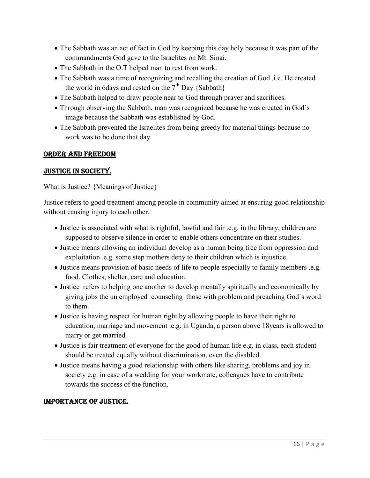- The Sabbath was an act of fact in God by keeping this day holy because it was part of the commandments God gave to the Israelites on Mt. Sinai.
- The Sabbath in the O.T helped man to rest from work.
- The Sabbath was a time of recognizing and recalling the creation of God .i.e. He created the world in 6days and rested on the  $7<sup>th</sup>$  Day {Sabbath}
- The Sabbath helped to draw people near to God through prayer and sacrifices.
- Through observing the Sabbath, man was recognized because he was created in God`s image because the Sabbath was established by God.
- The Sabbath prevented the Israelites from being greedy for material things because no work was to be done that day.

#### oRdER and fREEdom

#### JUStIcE In SocIEty.

What is Justice? {Meanings of Justice}

Justice refers to good treatment among people in community aimed at ensuring good relationship without causing injury to each other.

- Justice is associated with what is rightful, lawful and fair .e.g. in the library, children are supposed to observe silence in order to enable others concentrate on their studies.
- Justice means allowing an individual develop as a human being free from oppression and exploitation .e.g. some step mothers deny to their children which is injustice.
- Justice means provision of basic needs of life to people especially to family members .e.g. food. Clothes, shelter, care and education.
- Justice refers to helping one another to develop mentally spiritually and economically by giving jobs the un employed counseling those with problem and preaching God`s word to them.
- Justice is having respect for human right by allowing people to have their right to education, marriage and movement .e.g. in Uganda, a person above 18years is allowed to marry or get married.
- Justice is fair treatment of everyone for the good of human life e.g. in class, each student should be treated equally without discrimination, even the disabled.
- Justice means having a good relationship with others like sharing, problems and joy in society e.g. in case of a wedding for your workmate, colleagues have to contribute towards the success of the function.

#### ImpoRtancE of JUStIcE.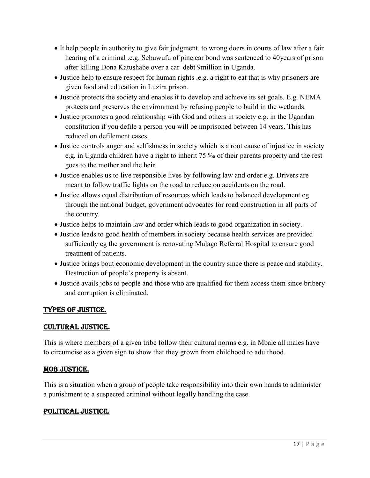- It help people in authority to give fair judgment to wrong doers in courts of law after a fair hearing of a criminal .e.g. Sebuwufu of pine car bond was sentenced to 40years of prison after killing Dona Katushabe over a car debt 9million in Uganda.
- Justice help to ensure respect for human rights .e.g. a right to eat that is why prisoners are given food and education in Luzira prison.
- Justice protects the society and enables it to develop and achieve its set goals. E.g. NEMA protects and preserves the environment by refusing people to build in the wetlands.
- Justice promotes a good relationship with God and others in society e.g. in the Ugandan constitution if you defile a person you will be imprisoned between 14 years. This has reduced on defilement cases.
- Justice controls anger and selfishness in society which is a root cause of injustice in society e.g. in Uganda children have a right to inherit 75 ‰ of their parents property and the rest goes to the mother and the heir.
- Justice enables us to live responsible lives by following law and order e.g. Drivers are meant to follow traffic lights on the road to reduce on accidents on the road.
- Justice allows equal distribution of resources which leads to balanced development eg through the national budget, government advocates for road construction in all parts of the country.
- Justice helps to maintain law and order which leads to good organization in society.
- Justice leads to good health of members in society because health services are provided sufficiently eg the government is renovating Mulago Referral Hospital to ensure good treatment of patients.
- Justice brings bout economic development in the country since there is peace and stability. Destruction of people's property is absent.
- Justice avails jobs to people and those who are qualified for them access them since bribery and corruption is eliminated.

# typES of JUStIcE.

## cULtURaL JUStIcE.

This is where members of a given tribe follow their cultural norms e.g. in Mbale all males have to circumcise as a given sign to show that they grown from childhood to adulthood.

#### mob JUStIcE.

This is a situation when a group of people take responsibility into their own hands to administer a punishment to a suspected criminal without legally handling the case.

## poLItIcaL JUStIcE.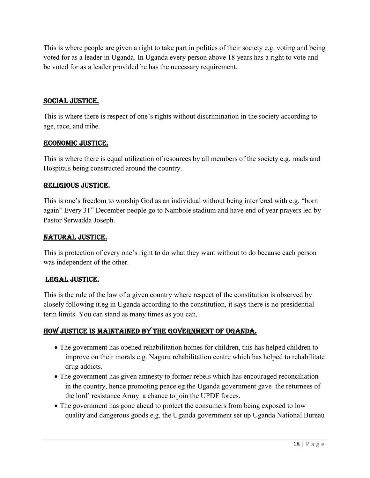This is where people are given a right to take part in politics of their society e.g. voting and being voted for as a leader in Uganda. In Uganda every person above 18 years has a right to vote and be voted for as a leader provided he has the necessary requirement.

### SocIaL JUStIcE.

This is where there is respect of one's rights without discrimination in the society according to age, race, and tribe.

#### EconomIc JUStIcE.

This is where there is equal utilization of resources by all members of the society e.g. roads and Hospitals being constructed around the country.

#### RELIgIoUS JUStIcE.

This is one's freedom to worship God as an individual without being interfered with e.g. "born again" Every 31<sup>st</sup> December people go to Nambole stadium and have end of year prayers led by Pastor Serwadda Joseph.

#### natURaL JUStIcE.

This is protection of every one's right to do what they want without to do because each person was independent of the other.

#### LEgaL JUStIcE.

This is the rule of the law of a given country where respect of the constitution is observed by closely following it.eg in Uganda according to the constitution, it says there is no presidential term limits. You can stand as many times as you can.

#### how JUStIcE IS maIntaInEd by thE govERnmEnt of Uganda.

- The government has opened rehabilitation homes for children, this has helped children to improve on their morals e.g. Naguru rehabilitation centre which has helped to rehabilitate drug addicts.
- The government has given amnesty to former rebels which has encouraged reconciliation in the country, hence promoting peace.eg the Uganda government gave the returnees of the lord' resistance Army a chance to join the UPDF forces.
- The government has gone ahead to protect the consumers from being exposed to low quality and dangerous goods e.g. the Uganda government set up Uganda National Bureau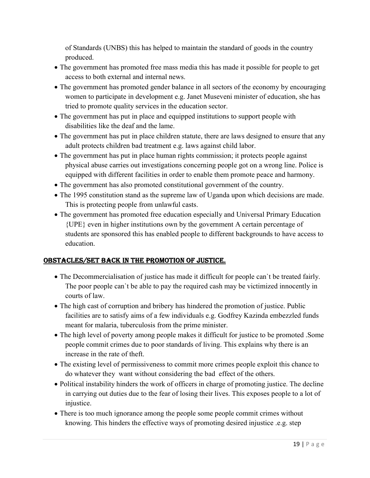of Standards (UNBS) this has helped to maintain the standard of goods in the country produced.

- The government has promoted free mass media this has made it possible for people to get access to both external and internal news.
- The government has promoted gender balance in all sectors of the economy by encouraging women to participate in development e.g. Janet Museveni minister of education, she has tried to promote quality services in the education sector.
- The government has put in place and equipped institutions to support people with disabilities like the deaf and the lame.
- The government has put in place children statute, there are laws designed to ensure that any adult protects children bad treatment e.g. laws against child labor.
- The government has put in place human rights commission; it protects people against physical abuse carries out investigations concerning people got on a wrong line. Police is equipped with different facilities in order to enable them promote peace and harmony.
- The government has also promoted constitutional government of the country.
- The 1995 constitution stand as the supreme law of Uganda upon which decisions are made. This is protecting people from unlawful casts.
- The government has promoted free education especially and Universal Primary Education {UPE} even in higher institutions own by the government A certain percentage of students are sponsored this has enabled people to different backgrounds to have access to education.

# obStacLES/SEt back In thE pRomotIon of JUStIcE.

- The Decommercialisation of justice has made it difficult for people can`t be treated fairly. The poor people can`t be able to pay the required cash may be victimized innocently in courts of law.
- The high cast of corruption and bribery has hindered the promotion of justice. Public facilities are to satisfy aims of a few individuals e.g. Godfrey Kazinda embezzled funds meant for malaria, tuberculosis from the prime minister.
- The high level of poverty among people makes it difficult for justice to be promoted .Some people commit crimes due to poor standards of living. This explains why there is an increase in the rate of theft.
- The existing level of permissiveness to commit more crimes people exploit this chance to do whatever they want without considering the bad effect of the others.
- Political instability hinders the work of officers in charge of promoting justice. The decline in carrying out duties due to the fear of losing their lives. This exposes people to a lot of injustice.
- There is too much ignorance among the people some people commit crimes without knowing. This hinders the effective ways of promoting desired injustice .e.g. step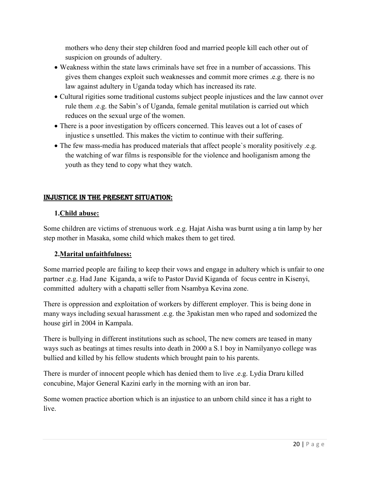mothers who deny their step children food and married people kill each other out of suspicion on grounds of adultery.

- Weakness within the state laws criminals have set free in a number of accassions. This gives them changes exploit such weaknesses and commit more crimes .e.g. there is no law against adultery in Uganda today which has increased its rate.
- Cultural rigities some traditional customs subject people injustices and the law cannot over rule them .e.g. the Sabin's of Uganda, female genital mutilation is carried out which reduces on the sexual urge of the women.
- There is a poor investigation by officers concerned. This leaves out a lot of cases of injustice s unsettled. This makes the victim to continue with their suffering.
- The few mass-media has produced materials that affect people`s morality positively .e.g. the watching of war films is responsible for the violence and hooliganism among the youth as they tend to copy what they watch.

# InJUStIcE In thE pRESEnt SItUatIon:

## 1.Child abuse:

Some children are victims of strenuous work .e.g. Hajat Aisha was burnt using a tin lamp by her step mother in Masaka, some child which makes them to get tired.

## 2.Marital unfaithfulness:

Some married people are failing to keep their vows and engage in adultery which is unfair to one partner .e.g. Had Jane Kiganda, a wife to Pastor David Kiganda of focus centre in Kisenyi, committed adultery with a chapatti seller from Nsambya Kevina zone.

There is oppression and exploitation of workers by different employer. This is being done in many ways including sexual harassment .e.g. the 3pakistan men who raped and sodomized the house girl in 2004 in Kampala.

There is bullying in different institutions such as school, The new comers are teased in many ways such as beatings at times results into death in 2000 a S.1 boy in Namilyanyo college was bullied and killed by his fellow students which brought pain to his parents.

There is murder of innocent people which has denied them to live .e.g. Lydia Draru killed concubine, Major General Kazini early in the morning with an iron bar.

Some women practice abortion which is an injustice to an unborn child since it has a right to live.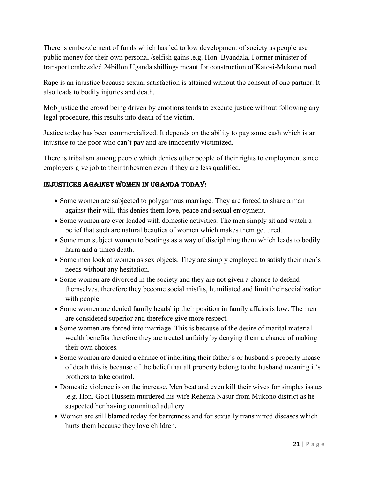There is embezzlement of funds which has led to low development of society as people use public money for their own personal /selfish gains .e.g. Hon. Byandala, Former minister of transport embezzled 24billon Uganda shillings meant for construction of Katosi-Mukono road.

Rape is an injustice because sexual satisfaction is attained without the consent of one partner. It also leads to bodily injuries and death.

Mob justice the crowd being driven by emotions tends to execute justice without following any legal procedure, this results into death of the victim.

Justice today has been commercialized. It depends on the ability to pay some cash which is an injustice to the poor who can`t pay and are innocently victimized.

There is tribalism among people which denies other people of their rights to employment since employers give job to their tribesmen even if they are less qualified.

## InJUStIcES agaInSt womEn In Uganda today:

- Some women are subjected to polygamous marriage. They are forced to share a man against their will, this denies them love, peace and sexual enjoyment.
- Some women are ever loaded with domestic activities. The men simply sit and watch a belief that such are natural beauties of women which makes them get tired.
- Some men subject women to beatings as a way of disciplining them which leads to bodily harm and a times death.
- Some men look at women as sex objects. They are simply employed to satisfy their men's needs without any hesitation.
- Some women are divorced in the society and they are not given a chance to defend themselves, therefore they become social misfits, humiliated and limit their socialization with people.
- Some women are denied family headship their position in family affairs is low. The men are considered superior and therefore give more respect.
- Some women are forced into marriage. This is because of the desire of marital material wealth benefits therefore they are treated unfairly by denying them a chance of making their own choices.
- Some women are denied a chance of inheriting their father's or husband's property incase of death this is because of the belief that all property belong to the husband meaning it`s brothers to take control.
- Domestic violence is on the increase. Men beat and even kill their wives for simples issues .e.g. Hon. Gobi Hussein murdered his wife Rehema Nasur from Mukono district as he suspected her having committed adultery.
- Women are still blamed today for barrenness and for sexually transmitted diseases which hurts them because they love children.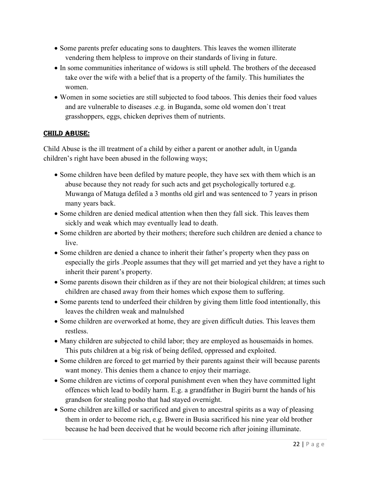- Some parents prefer educating sons to daughters. This leaves the women illiterate vendering them helpless to improve on their standards of living in future.
- In some communities inheritance of widows is still upheld. The brothers of the deceased take over the wife with a belief that is a property of the family. This humiliates the women.
- Women in some societies are still subjected to food taboos. This denies their food values and are vulnerable to diseases .e.g. in Buganda, some old women don`t treat grasshoppers, eggs, chicken deprives them of nutrients.

### chILd abUSE:

Child Abuse is the ill treatment of a child by either a parent or another adult, in Uganda children's right have been abused in the following ways;

- Some children have been defiled by mature people, they have sex with them which is an abuse because they not ready for such acts and get psychologically tortured e.g. Muwanga of Matuga defiled a 3 months old girl and was sentenced to 7 years in prison many years back.
- Some children are denied medical attention when then they fall sick. This leaves them sickly and weak which may eventually lead to death.
- Some children are aborted by their mothers; therefore such children are denied a chance to live.
- Some children are denied a chance to inherit their father's property when they pass on especially the girls .People assumes that they will get married and yet they have a right to inherit their parent's property.
- Some parents disown their children as if they are not their biological children; at times such children are chased away from their homes which expose them to suffering.
- Some parents tend to underfeed their children by giving them little food intentionally, this leaves the children weak and malnulshed
- Some children are overworked at home, they are given difficult duties. This leaves them restless.
- Many children are subjected to child labor; they are employed as housemaids in homes. This puts children at a big risk of being defiled, oppressed and exploited.
- Some children are forced to get married by their parents against their will because parents want money. This denies them a chance to enjoy their marriage.
- Some children are victims of corporal punishment even when they have committed light offences which lead to bodily harm. E.g. a grandfather in Bugiri burnt the hands of his grandson for stealing posho that had stayed overnight.
- Some children are killed or sacrificed and given to ancestral spirits as a way of pleasing them in order to become rich, e.g. Bwere in Busia sacrificed his nine year old brother because he had been deceived that he would become rich after joining illuminate.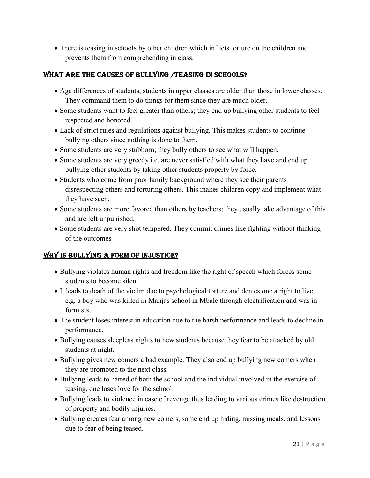There is teasing in schools by other children which inflicts torture on the children and prevents them from comprehending in class.

## WHAT ARE THE CAUSES OF BULLYING /TEASING IN SCHOOLS?

- Age differences of students, students in upper classes are older than those in lower classes. They command them to do things for them since they are much older.
- Some students want to feel greater than others; they end up bullying other students to feel respected and honored.
- Lack of strict rules and regulations against bullying. This makes students to continue bullying others since nothing is done to them.
- Some students are very stubborn; they bully others to see what will happen.
- Some students are very greedy i.e. are never satisfied with what they have and end up bullying other students by taking other students property by force.
- Students who come from poor family background where they see their parents disrespecting others and torturing others. This makes children copy and implement what they have seen.
- Some students are more favored than others by teachers; they usually take advantage of this and are left unpunished.
- Some students are very shot tempered. They commit crimes like fighting without thinking of the outcomes

## why IS bULLyIng a foRm of InJUStIcE?

- Bullying violates human rights and freedom like the right of speech which forces some students to become silent.
- It leads to death of the victim due to psychological torture and denies one a right to live, e.g. a boy who was killed in Manjas school in Mbale through electrification and was in form six.
- The student loses interest in education due to the harsh performance and leads to decline in performance.
- Bullying causes sleepless nights to new students because they fear to be attacked by old students at night.
- Bullying gives new comers a bad example. They also end up bullying new comers when they are promoted to the next class.
- Bullying leads to hatred of both the school and the individual involved in the exercise of teasing, one loses love for the school.
- Bullying leads to violence in case of revenge thus leading to various crimes like destruction of property and bodily injuries.
- Bullying creates fear among new comers, some end up hiding, missing meals, and lessons due to fear of being teased.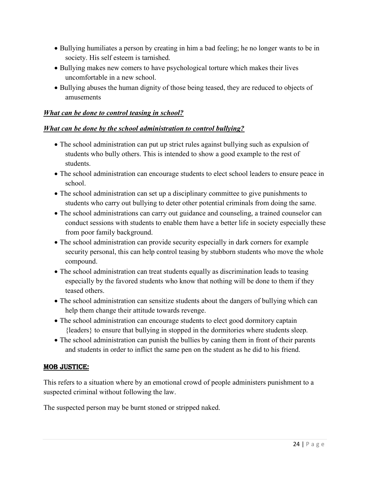- Bullying humiliates a person by creating in him a bad feeling; he no longer wants to be in society. His self esteem is tarnished.
- Bullying makes new comers to have psychological torture which makes their lives uncomfortable in a new school.
- Bullying abuses the human dignity of those being teased, they are reduced to objects of amusements

#### What can be done to control teasing in school?

#### What can be done by the school administration to control bullying?

- The school administration can put up strict rules against bullying such as expulsion of students who bully others. This is intended to show a good example to the rest of students.
- The school administration can encourage students to elect school leaders to ensure peace in school.
- The school administration can set up a disciplinary committee to give punishments to students who carry out bullying to deter other potential criminals from doing the same.
- The school administrations can carry out guidance and counseling, a trained counselor can conduct sessions with students to enable them have a better life in society especially these from poor family background.
- The school administration can provide security especially in dark corners for example security personal, this can help control teasing by stubborn students who move the whole compound.
- The school administration can treat students equally as discrimination leads to teasing especially by the favored students who know that nothing will be done to them if they teased others.
- The school administration can sensitize students about the dangers of bullying which can help them change their attitude towards revenge.
- The school administration can encourage students to elect good dormitory captain {leaders} to ensure that bullying in stopped in the dormitories where students sleep.
- The school administration can punish the bullies by caning them in front of their parents and students in order to inflict the same pen on the student as he did to his friend.

#### mob JUStIcE:

This refers to a situation where by an emotional crowd of people administers punishment to a suspected criminal without following the law.

The suspected person may be burnt stoned or stripped naked.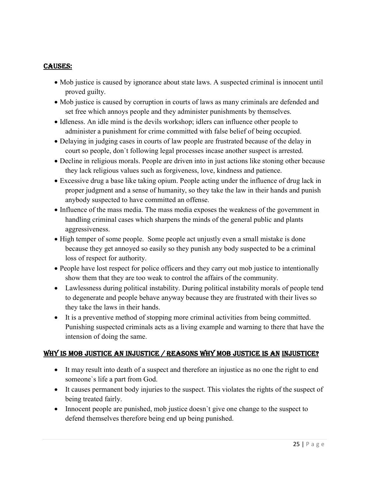#### caUSES:

- Mob justice is caused by ignorance about state laws. A suspected criminal is innocent until proved guilty.
- Mob justice is caused by corruption in courts of laws as many criminals are defended and set free which annoys people and they administer punishments by themselves.
- Idleness. An idle mind is the devils workshop; idlers can influence other people to administer a punishment for crime committed with false belief of being occupied.
- Delaying in judging cases in courts of law people are frustrated because of the delay in court so people, don`t following legal processes incase another suspect is arrested.
- Decline in religious morals. People are driven into in just actions like stoning other because they lack religious values such as forgiveness, love, kindness and patience.
- Excessive drug a base like taking opium. People acting under the influence of drug lack in proper judgment and a sense of humanity, so they take the law in their hands and punish anybody suspected to have committed an offense.
- Influence of the mass media. The mass media exposes the weakness of the government in handling criminal cases which sharpens the minds of the general public and plants aggressiveness.
- High temper of some people. Some people act unjustly even a small mistake is done because they get annoyed so easily so they punish any body suspected to be a criminal loss of respect for authority.
- People have lost respect for police officers and they carry out mob justice to intentionally show them that they are too weak to control the affairs of the community.
- Lawlessness during political instability. During political instability morals of people tend to degenerate and people behave anyway because they are frustrated with their lives so they take the laws in their hands.
- It is a preventive method of stopping more criminal activities from being committed. Punishing suspected criminals acts as a living example and warning to there that have the intension of doing the same.

## why IS mob JUStIcE an InJUStIcE / REaSonS why mob JUStIcE IS an InJUStIcE?

- It may result into death of a suspect and therefore an injustice as no one the right to end someone`s life a part from God.
- It causes permanent body injuries to the suspect. This violates the rights of the suspect of being treated fairly.
- Innocent people are punished, mob justice doesn't give one change to the suspect to defend themselves therefore being end up being punished.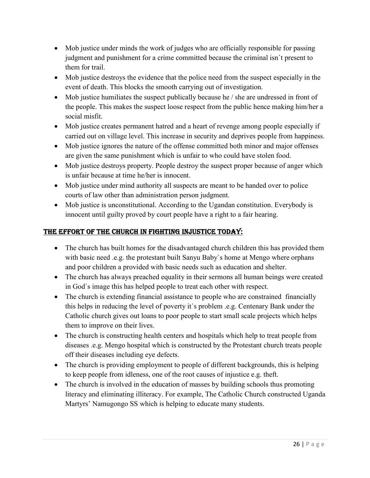- Mob justice under minds the work of judges who are officially responsible for passing judgment and punishment for a crime committed because the criminal isn`t present to them for trail.
- Mob justice destroys the evidence that the police need from the suspect especially in the event of death. This blocks the smooth carrying out of investigation.
- Mob justice humiliates the suspect publically because he / she are undressed in front of the people. This makes the suspect loose respect from the public hence making him/her a social misfit.
- Mob justice creates permanent hatred and a heart of revenge among people especially if carried out on village level. This increase in security and deprives people from happiness.
- Mob justice ignores the nature of the offense committed both minor and major offenses are given the same punishment which is unfair to who could have stolen food.
- Mob justice destroys property. People destroy the suspect proper because of anger which is unfair because at time he/her is innocent.
- Mob justice under mind authority all suspects are meant to be handed over to police courts of law other than administration person judgment.
- Mob justice is unconstitutional. According to the Ugandan constitution. Everybody is innocent until guilty proved by court people have a right to a fair hearing.

# thE EffoRt of thE chURch In fIghtIng InJUStIcE today:

- The church has built homes for the disadvantaged church children this has provided them with basic need .e.g. the protestant built Sanyu Baby's home at Mengo where orphans and poor children a provided with basic needs such as education and shelter.
- The church has always preached equality in their sermons all human beings were created in God`s image this has helped people to treat each other with respect.
- The church is extending financial assistance to people who are constrained financially this helps in reducing the level of poverty it`s problem .e.g. Centenary Bank under the Catholic church gives out loans to poor people to start small scale projects which helps them to improve on their lives.
- The church is constructing health centers and hospitals which help to treat people from diseases .e.g. Mengo hospital which is constructed by the Protestant church treats people off their diseases including eye defects.
- The church is providing employment to people of different backgrounds, this is helping to keep people from idleness, one of the root causes of injustice e.g. theft.
- The church is involved in the education of masses by building schools thus promoting literacy and eliminating illiteracy. For example, The Catholic Church constructed Uganda Martyrs' Namugongo SS which is helping to educate many students.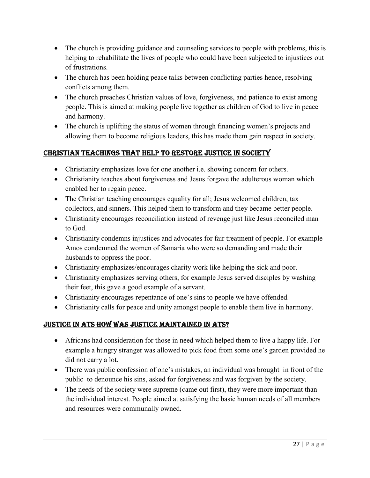- The church is providing guidance and counseling services to people with problems, this is helping to rehabilitate the lives of people who could have been subjected to injustices out of frustrations.
- The church has been holding peace talks between conflicting parties hence, resolving conflicts among them.
- The church preaches Christian values of love, forgiveness, and patience to exist among people. This is aimed at making people live together as children of God to live in peace and harmony.
- The church is uplifting the status of women through financing women's projects and allowing them to become religious leaders, this has made them gain respect in society.

# chRIStIan tEachIngS that hELp to REStoRE JUStIcE In SocIEty

- Christianity emphasizes love for one another i.e. showing concern for others.
- Christianity teaches about forgiveness and Jesus forgave the adulterous woman which enabled her to regain peace.
- The Christian teaching encourages equality for all; Jesus welcomed children, tax collectors, and sinners. This helped them to transform and they became better people.
- Christianity encourages reconciliation instead of revenge just like Jesus reconciled man to God.
- Christianity condemns injustices and advocates for fair treatment of people. For example Amos condemned the women of Samaria who were so demanding and made their husbands to oppress the poor.
- Christianity emphasizes/encourages charity work like helping the sick and poor.
- Christianity emphasizes serving others, for example Jesus served disciples by washing their feet, this gave a good example of a servant.
- Christianity encourages repentance of one's sins to people we have offended.
- Christianity calls for peace and unity amongst people to enable them live in harmony.

## JUStIcE In atS how waS JUStIcE maIntaInEd In atS?

- Africans had consideration for those in need which helped them to live a happy life. For example a hungry stranger was allowed to pick food from some one's garden provided he did not carry a lot.
- There was public confession of one's mistakes, an individual was brought in front of the public to denounce his sins, asked for forgiveness and was forgiven by the society.
- The needs of the society were supreme (came out first), they were more important than the individual interest. People aimed at satisfying the basic human needs of all members and resources were communally owned.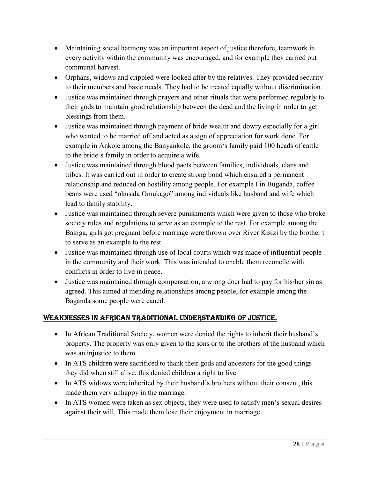- Maintaining social harmony was an important aspect of justice therefore, teamwork in every activity within the community was encouraged, and for example they carried out communal harvest.
- Orphans, widows and crippled were looked after by the relatives. They provided security to their members and basic needs. They had to be treated equally without discrimination.
- Justice was maintained through prayers and other rituals that were performed regularly to their gods to maintain good relationship between the dead and the living in order to get blessings from them.
- Justice was maintained through payment of bride wealth and dowry especially for a girl who wanted to be married off and acted as a sign of appreciation for work done. For example in Ankole among the Banyankole, the groom's family paid 100 heads of cattle to the bride's family in order to acquire a wife.
- Justice was maintained through blood pacts between families, individuals, clans and tribes. It was carried out in order to create strong bond which ensured a permanent relationship and reduced on hostility among people. For example I in Buganda, coffee beans were used "okusala Omukago" among individuals like husband and wife which lead to family stability.
- Justice was maintained through severe punishments which were given to those who broke society rules and regulations to serve as an example to the rest. For example among the Bakiga, girls got pregnant before marriage were thrown over River Kisizi by the brother t to serve as an example to the rest.
- Justice was maintained through use of local courts which was made of influential people in the community and their work. This was intended to enable them reconcile with conflicts in order to live in peace.
- Justice was maintained through compensation, a wrong doer had to pay for his/her sin as agreed. This aimed at mending relationships among people, for example among the Baganda some people were caned.

## wEaknESSES In afRIcan tRadItIonaL UndERStandIng of JUStIcE.

- In African Traditional Society, women were denied the rights to inherit their husband's property. The property was only given to the sons or to the brothers of the husband which was an injustice to them.
- In ATS children were sacrificed to thank their gods and ancestors for the good things they did when still alive, this denied children a right to live.
- In ATS widows were inherited by their husband's brothers without their consent, this made them very unhappy in the marriage.
- In ATS women were taken as sex objects, they were used to satisfy men's sexual desires against their will. This made them lose their enjoyment in marriage.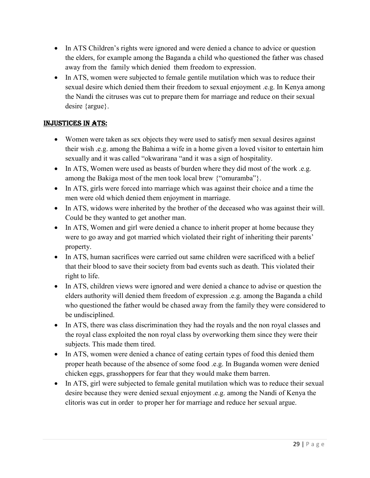- In ATS Children's rights were ignored and were denied a chance to advice or question the elders, for example among the Baganda a child who questioned the father was chased away from the family which denied them freedom to expression.
- In ATS, women were subjected to female gentile mutilation which was to reduce their sexual desire which denied them their freedom to sexual enjoyment .e.g. In Kenya among the Nandi the citruses was cut to prepare them for marriage and reduce on their sexual desire {argue}.

# InJUStIcES In atS:

- Women were taken as sex objects they were used to satisfy men sexual desires against their wish .e.g. among the Bahima a wife in a home given a loved visitor to entertain him sexually and it was called "okwarirana "and it was a sign of hospitality.
- In ATS, Women were used as beasts of burden where they did most of the work .e.g. among the Bakiga most of the men took local brew {"omuramba"}.
- In ATS, girls were forced into marriage which was against their choice and a time the men were old which denied them enjoyment in marriage.
- In ATS, widows were inherited by the brother of the deceased who was against their will. Could be they wanted to get another man.
- In ATS, Women and girl were denied a chance to inherit proper at home because they were to go away and got married which violated their right of inheriting their parents' property.
- In ATS, human sacrifices were carried out same children were sacrificed with a belief that their blood to save their society from bad events such as death. This violated their right to life.
- In ATS, children views were ignored and were denied a chance to advise or question the elders authority will denied them freedom of expression .e.g. among the Baganda a child who questioned the father would be chased away from the family they were considered to be undisciplined.
- In ATS, there was class discrimination they had the royals and the non royal classes and the royal class exploited the non royal class by overworking them since they were their subjects. This made them tired.
- In ATS, women were denied a chance of eating certain types of food this denied them proper heath because of the absence of some food .e.g. In Buganda women were denied chicken eggs, grasshoppers for fear that they would make them barren.
- In ATS, girl were subjected to female genital mutilation which was to reduce their sexual desire because they were denied sexual enjoyment .e.g. among the Nandi of Kenya the clitoris was cut in order to proper her for marriage and reduce her sexual argue.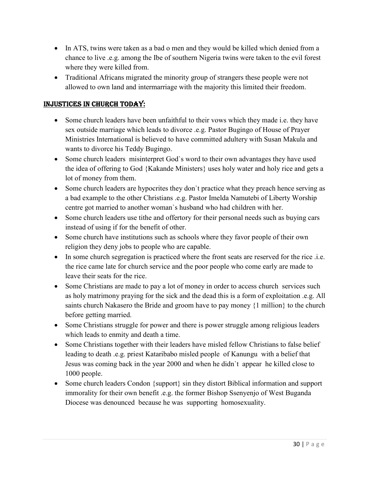- In ATS, twins were taken as a bad o men and they would be killed which denied from a chance to live .e.g. among the Ibe of southern Nigeria twins were taken to the evil forest where they were killed from.
- Traditional Africans migrated the minority group of strangers these people were not allowed to own land and intermarriage with the majority this limited their freedom.

### InJUStIcES In chURch today:

- Some church leaders have been unfaithful to their vows which they made i.e. they have sex outside marriage which leads to divorce .e.g. Pastor Bugingo of House of Prayer Ministries International is believed to have committed adultery with Susan Makula and wants to divorce his Teddy Bugingo.
- Some church leaders misinterpret God's word to their own advantages they have used the idea of offering to God {Kakande Ministers} uses holy water and holy rice and gets a lot of money from them.
- Some church leaders are hypocrites they don't practice what they preach hence serving as a bad example to the other Christians .e.g. Pastor Imelda Namutebi of Liberty Worship centre got married to another woman`s husband who had children with her.
- Some church leaders use tithe and offertory for their personal needs such as buying cars instead of using if for the benefit of other.
- Some church have institutions such as schools where they favor people of their own religion they deny jobs to people who are capable.
- In some church segregation is practiced where the front seats are reserved for the rice .i.e. the rice came late for church service and the poor people who come early are made to leave their seats for the rice.
- Some Christians are made to pay a lot of money in order to access church services such as holy matrimony praying for the sick and the dead this is a form of exploitation .e.g. All saints church Nakasero the Bride and groom have to pay money {1 million} to the church before getting married.
- Some Christians struggle for power and there is power struggle among religious leaders which leads to enmity and death a time.
- Some Christians together with their leaders have misled fellow Christians to false belief leading to death .e.g. priest Kataribabo misled people of Kanungu with a belief that Jesus was coming back in the year 2000 and when he didn`t appear he killed close to 1000 people.
- Some church leaders Condon {support} sin they distort Biblical information and support immorality for their own benefit .e.g. the former Bishop Ssenyenjo of West Buganda Diocese was denounced because he was supporting homosexuality.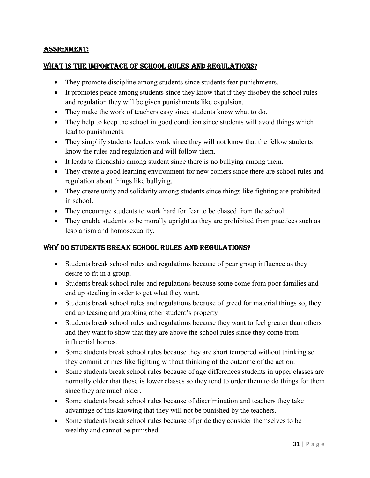#### aSSIgnmEnt:

#### what IS thE ImpoRtacE of SchooL RULES and REgULatIonS?

- They promote discipline among students since students fear punishments.
- It promotes peace among students since they know that if they disobey the school rules and regulation they will be given punishments like expulsion.
- They make the work of teachers easy since students know what to do.
- They help to keep the school in good condition since students will avoid things which lead to punishments.
- They simplify students leaders work since they will not know that the fellow students know the rules and regulation and will follow them.
- It leads to friendship among student since there is no bullying among them.
- They create a good learning environment for new comers since there are school rules and regulation about things like bullying.
- They create unity and solidarity among students since things like fighting are prohibited in school.
- They encourage students to work hard for fear to be chased from the school.
- They enable students to be morally upright as they are prohibited from practices such as lesbianism and homosexuality.

#### why do StUdEntS bREak SchooL RULES and REgULatIonS?

- Students break school rules and regulations because of pear group influence as they desire to fit in a group.
- Students break school rules and regulations because some come from poor families and end up stealing in order to get what they want.
- Students break school rules and regulations because of greed for material things so, they end up teasing and grabbing other student's property
- Students break school rules and regulations because they want to feel greater than others and they want to show that they are above the school rules since they come from influential homes.
- Some students break school rules because they are short tempered without thinking so they commit crimes like fighting without thinking of the outcome of the action.
- Some students break school rules because of age differences students in upper classes are normally older that those is lower classes so they tend to order them to do things for them since they are much older.
- Some students break school rules because of discrimination and teachers they take advantage of this knowing that they will not be punished by the teachers.
- Some students break school rules because of pride they consider themselves to be wealthy and cannot be punished.